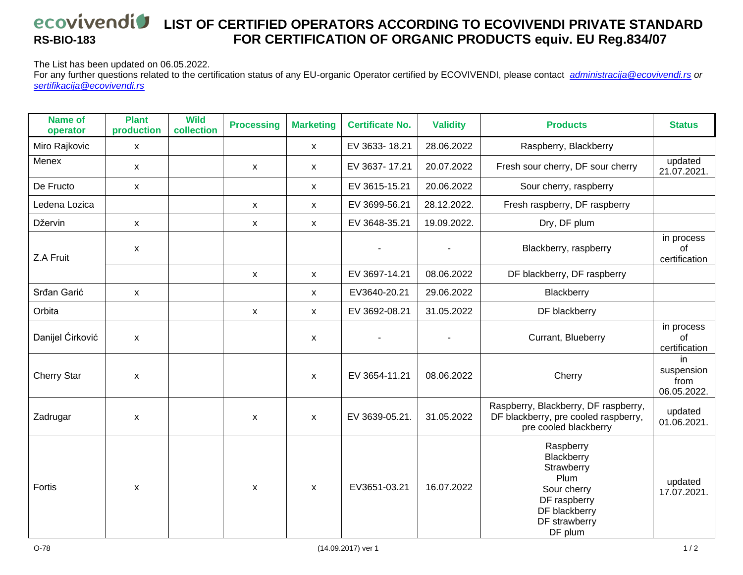## *<u>ECOVIVENDIV</u>* **LIST OF CERTIFIED OPERATORS ACCORDING TO ECOVIVENDI PRIVATE STANDARD RS-BIO-183 FOR CERTIFICATION OF ORGANIC PRODUCTS equiv. EU Reg.834/07**

The List has been updated on 06.05.2022.

For any further questions related to the certification status of any EU-organic Operator certified by ECOVIVENDI, please contact *[administracija@ecovivendi.rs](mailto:administracija@ecovivendi.rs) or [sertifikacija@ecovivendi.rs](mailto:sertifikacija@ecovivendi.rs)*

| <b>Name of</b><br>operator | <b>Plant</b><br>production | <b>Wild</b><br>collection | <b>Processing</b>         | <b>Marketing</b>          | <b>Certificate No.</b> | <b>Validity</b> | <b>Products</b>                                                                                                           | <b>Status</b>                           |
|----------------------------|----------------------------|---------------------------|---------------------------|---------------------------|------------------------|-----------------|---------------------------------------------------------------------------------------------------------------------------|-----------------------------------------|
| Miro Rajkovic              | X                          |                           |                           | $\pmb{\mathsf{X}}$        | EV 3633-18.21          | 28.06.2022      | Raspberry, Blackberry                                                                                                     |                                         |
| Menex                      | $\mathsf{x}$               |                           | $\mathsf{x}$              | $\mathsf{x}$              | EV 3637-17.21          | 20.07.2022      | Fresh sour cherry, DF sour cherry                                                                                         | updated<br>21.07.2021.                  |
| De Fructo                  | X                          |                           |                           | X                         | EV 3615-15.21          | 20.06.2022      | Sour cherry, raspberry                                                                                                    |                                         |
| Ledena Lozica              |                            |                           | X                         | x                         | EV 3699-56.21          | 28.12.2022.     | Fresh raspberry, DF raspberry                                                                                             |                                         |
| Džervin                    | X                          |                           | $\mathsf{x}$              | X                         | EV 3648-35.21          | 19.09.2022.     | Dry, DF plum                                                                                                              |                                         |
| Z.A Fruit                  | X                          |                           |                           |                           |                        |                 | Blackberry, raspberry                                                                                                     | in process<br>of<br>certification       |
|                            |                            |                           | $\boldsymbol{\mathsf{x}}$ | X                         | EV 3697-14.21          | 08.06.2022      | DF blackberry, DF raspberry                                                                                               |                                         |
| Srđan Garić                | X                          |                           |                           | X                         | EV3640-20.21           | 29.06.2022      | Blackberry                                                                                                                |                                         |
| Orbita                     |                            |                           | $\mathsf{x}$              | X                         | EV 3692-08.21          | 31.05.2022      | DF blackberry                                                                                                             |                                         |
| Danijel Ćirković           | X                          |                           |                           | X                         |                        |                 | Currant, Blueberry                                                                                                        | in process<br>of<br>certification       |
| <b>Cherry Star</b>         | X                          |                           |                           | X                         | EV 3654-11.21          | 08.06.2022      | Cherry                                                                                                                    | in<br>suspension<br>from<br>06.05.2022. |
| Zadrugar                   | X                          |                           | $\mathsf{x}$              | X                         | EV 3639-05.21.         | 31.05.2022      | Raspberry, Blackberry, DF raspberry,<br>DF blackberry, pre cooled raspberry,<br>pre cooled blackberry                     | updated<br>01.06.2021.                  |
| Fortis                     | X                          |                           | $\mathsf{x}$              | $\boldsymbol{\mathsf{X}}$ | EV3651-03.21           | 16.07.2022      | Raspberry<br>Blackberry<br>Strawberry<br>Plum<br>Sour cherry<br>DF raspberry<br>DF blackberry<br>DF strawberry<br>DF plum | updated<br>17.07.2021.                  |